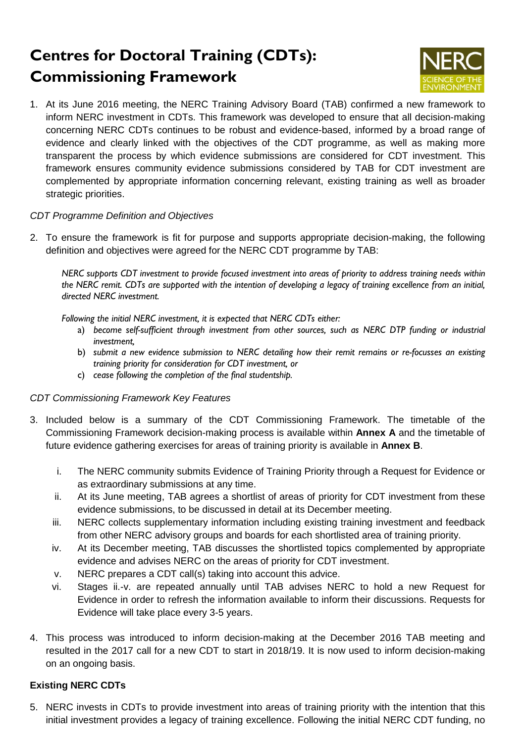# **Centres for Doctoral Training (CDTs): Commissioning Framework**



1. At its June 2016 meeting, the NERC Training Advisory Board (TAB) confirmed a new framework to inform NERC investment in CDTs. This framework was developed to ensure that all decision-making concerning NERC CDTs continues to be robust and evidence-based, informed by a broad range of evidence and clearly linked with the objectives of the CDT programme, as well as making more transparent the process by which evidence submissions are considered for CDT investment. This framework ensures community evidence submissions considered by TAB for CDT investment are complemented by appropriate information concerning relevant, existing training as well as broader strategic priorities.

#### *CDT Programme Definition and Objectives*

2. To ensure the framework is fit for purpose and supports appropriate decision-making, the following definition and objectives were agreed for the NERC CDT programme by TAB:

*NERC supports CDT investment to provide focused investment into areas of priority to address training needs within the NERC remit. CDTs are supported with the intention of developing a legacy of training excellence from an initial, directed NERC investment.* 

*Following the initial NERC investment, it is expected that NERC CDTs either:* 

- a) *become self-sufficient through investment from other sources, such as NERC DTP funding or industrial investment,*
- b) *submit a new evidence submission to NERC detailing how their remit remains or re-focusses an existing training priority for consideration for CDT investment, or*
- c) *cease following the completion of the final studentship.*

#### *CDT Commissioning Framework Key Features*

- 3. Included below is a summary of the CDT Commissioning Framework. The timetable of the Commissioning Framework decision-making process is available within **Annex A** and the timetable of future evidence gathering exercises for areas of training priority is available in **Annex B**.
	- i. The NERC community submits Evidence of Training Priority through a Request for Evidence or as extraordinary submissions at any time.
	- ii. At its June meeting, TAB agrees a shortlist of areas of priority for CDT investment from these evidence submissions, to be discussed in detail at its December meeting.
	- iii. NERC collects supplementary information including existing training investment and feedback from other NERC advisory groups and boards for each shortlisted area of training priority.
	- iv. At its December meeting, TAB discusses the shortlisted topics complemented by appropriate evidence and advises NERC on the areas of priority for CDT investment.
	- v. NERC prepares a CDT call(s) taking into account this advice.
	- vi. Stages ii.-v. are repeated annually until TAB advises NERC to hold a new Request for Evidence in order to refresh the information available to inform their discussions. Requests for Evidence will take place every 3-5 years.
- 4. This process was introduced to inform decision-making at the December 2016 TAB meeting and resulted in the 2017 call for a new CDT to start in 2018/19. It is now used to inform decision-making on an ongoing basis.

### **Existing NERC CDTs**

5. NERC invests in CDTs to provide investment into areas of training priority with the intention that this initial investment provides a legacy of training excellence. Following the initial NERC CDT funding, no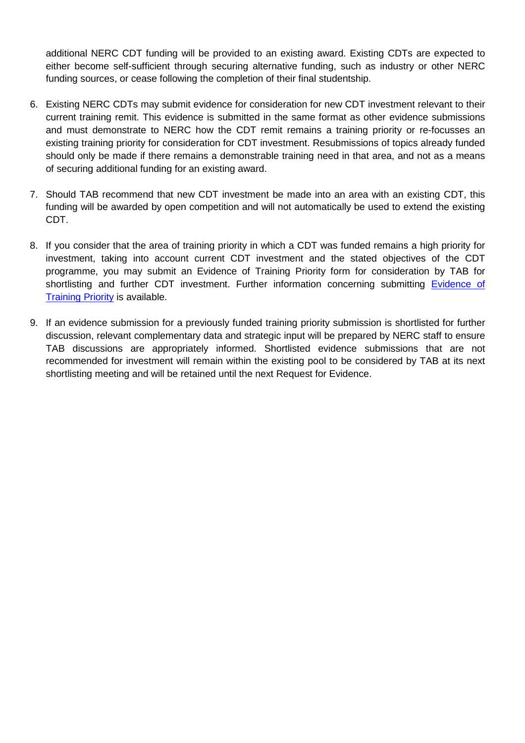additional NERC CDT funding will be provided to an existing award. Existing CDTs are expected to either become self-sufficient through securing alternative funding, such as industry or other NERC funding sources, or cease following the completion of their final studentship.

- 6. Existing NERC CDTs may submit evidence for consideration for new CDT investment relevant to their current training remit. This evidence is submitted in the same format as other evidence submissions and must demonstrate to NERC how the CDT remit remains a training priority or re-focusses an existing training priority for consideration for CDT investment. Resubmissions of topics already funded should only be made if there remains a demonstrable training need in that area, and not as a means of securing additional funding for an existing award.
- 7. Should TAB recommend that new CDT investment be made into an area with an existing CDT, this funding will be awarded by open competition and will not automatically be used to extend the existing CDT.
- 8. If you consider that the area of training priority in which a CDT was funded remains a high priority for investment, taking into account current CDT investment and the stated objectives of the CDT programme, you may submit an Evidence of Training Priority form for consideration by TAB for shortlisting and further CDT investment. Further information concerning submitting Evidence of [Training Priority](http://www.nerc.ac.uk/funding/available/postgrad/focused/cdt/evidence/) is available.
- 9. If an evidence submission for a previously funded training priority submission is shortlisted for further discussion, relevant complementary data and strategic input will be prepared by NERC staff to ensure TAB discussions are appropriately informed. Shortlisted evidence submissions that are not recommended for investment will remain within the existing pool to be considered by TAB at its next shortlisting meeting and will be retained until the next Request for Evidence.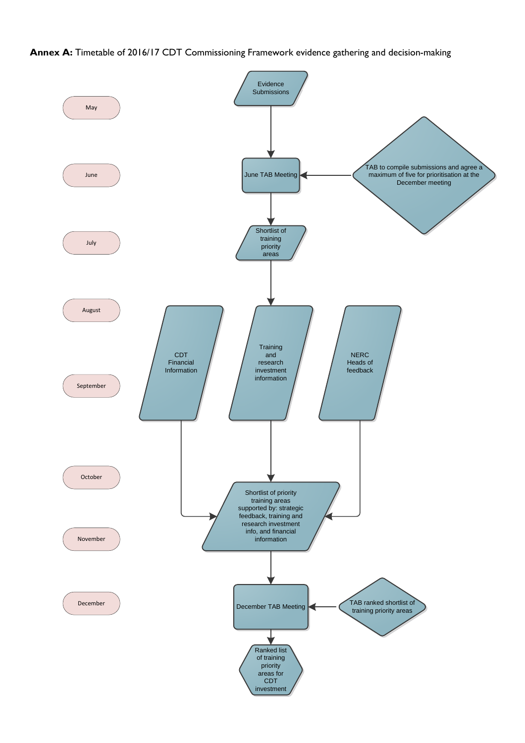**Annex A:** Timetable of 2016/17 CDT Commissioning Framework evidence gathering and decision-making